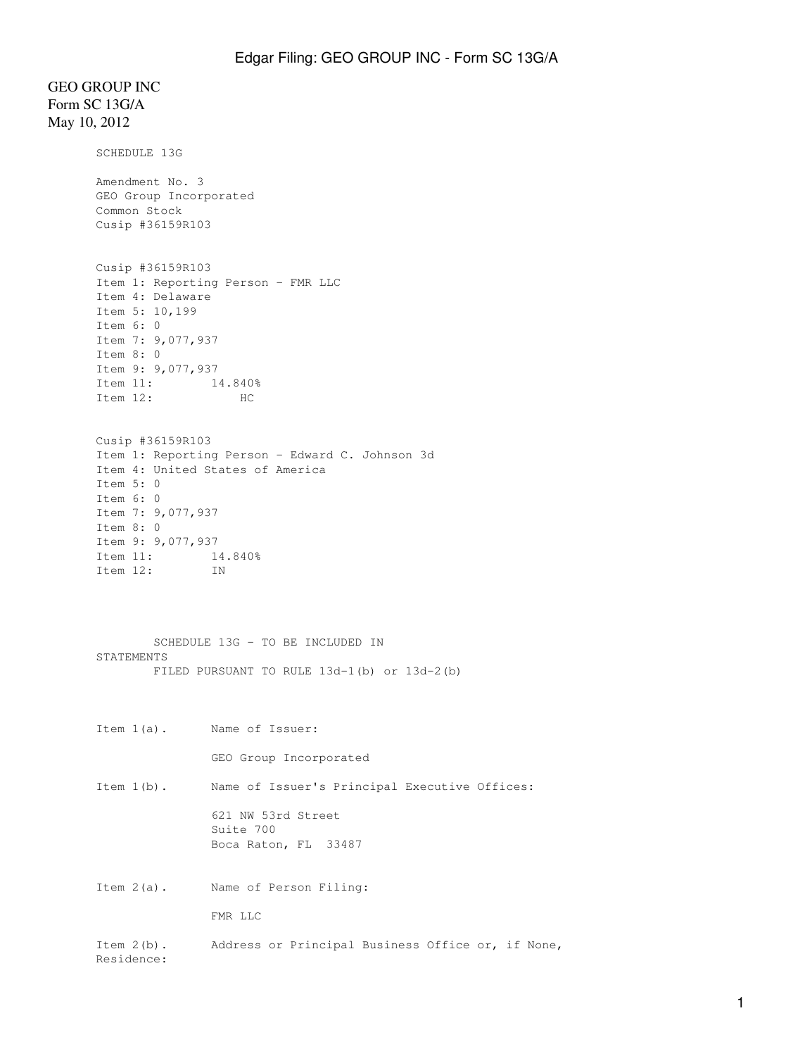## GEO GROUP INC Form SC 13G/A May 10, 2012

SCHEDULE 13G Amendment No. 3 GEO Group Incorporated Common Stock Cusip #36159R103 Cusip #36159R103 Item 1: Reporting Person - FMR LLC Item 4: Delaware Item 5: 10,199 Item 6: 0 Item 7: 9,077,937 Item 8: 0 Item 9: 9,077,937 Item 11: 14.840% Item 12: HC Cusip #36159R103 Item 1: Reporting Person - Edward C. Johnson 3d Item 4: United States of America Item 5: 0 Item 6: 0 Item 7: 9,077,937 Item 8: 0 Item 9: 9,077,937 Item 11: 14.840% Item 12: IN SCHEDULE 13G - TO BE INCLUDED IN STATEMENTS FILED PURSUANT TO RULE 13d-1(b) or 13d-2(b) Item 1(a). Name of Issuer: GEO Group Incorporated Item 1(b). Name of Issuer's Principal Executive Offices: 621 NW 53rd Street Suite 700 Boca Raton, FL 33487 Item 2(a). Name of Person Filing: FMR LLC Item 2(b). Address or Principal Business Office or, if None, Residence: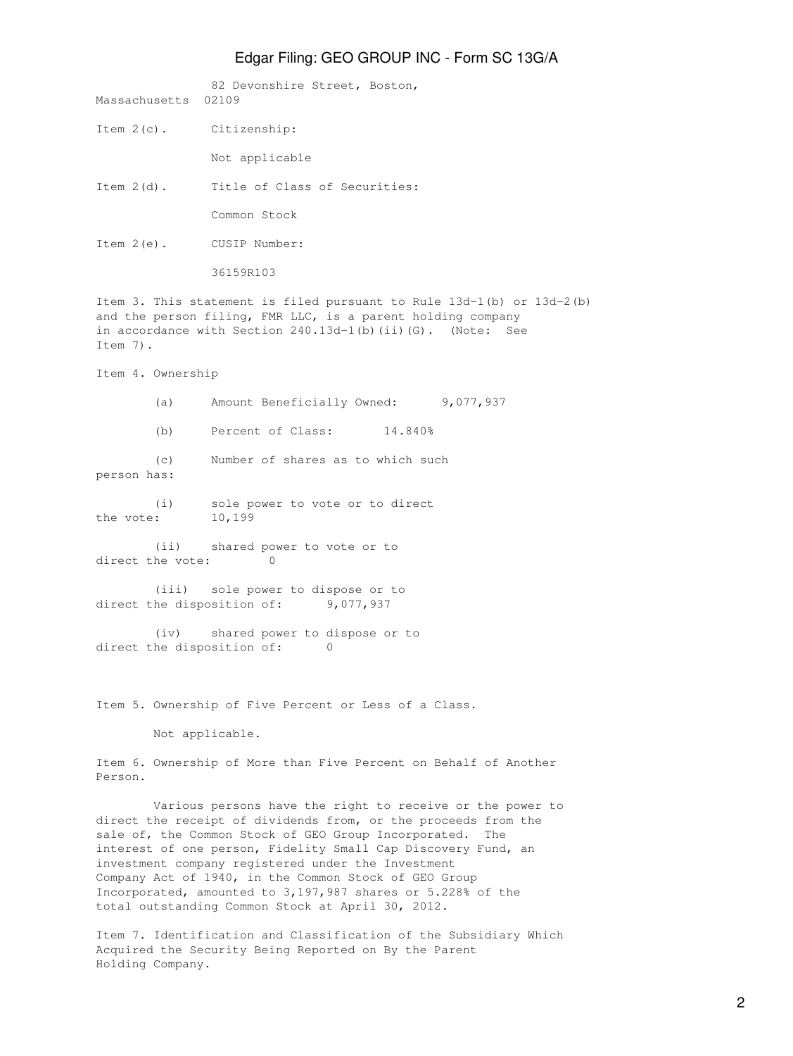## Edgar Filing: GEO GROUP INC - Form SC 13G/A

82 Devonshire Street, Boston, Massachusetts 02109 Item 2(c). Citizenship: Not applicable Item 2(d). Title of Class of Securities: Common Stock Item 2(e). CUSIP Number: 36159R103 Item 3. This statement is filed pursuant to Rule 13d-1(b) or 13d-2(b) and the person filing, FMR LLC, is a parent holding company in accordance with Section 240.13d-1(b)(ii)(G). (Note: See Item 7). Item 4. Ownership (a) Amount Beneficially Owned: 9,077,937 (b) Percent of Class: 14.840% (c) Number of shares as to which such person has: (i) sole power to vote or to direct the vote: 10,199 (ii) shared power to vote or to direct the vote: 0 (iii) sole power to dispose or to direct the disposition of: 9,077,937 (iv) shared power to dispose or to direct the disposition of: 0 Item 5. Ownership of Five Percent or Less of a Class. Not applicable. Item 6. Ownership of More than Five Percent on Behalf of Another Person. Various persons have the right to receive or the power to direct the receipt of dividends from, or the proceeds from the sale of, the Common Stock of GEO Group Incorporated. The interest of one person, Fidelity Small Cap Discovery Fund, an investment company registered under the Investment Company Act of 1940, in the Common Stock of GEO Group Incorporated, amounted to 3,197,987 shares or 5.228% of the

Item 7. Identification and Classification of the Subsidiary Which Acquired the Security Being Reported on By the Parent Holding Company.

total outstanding Common Stock at April 30, 2012.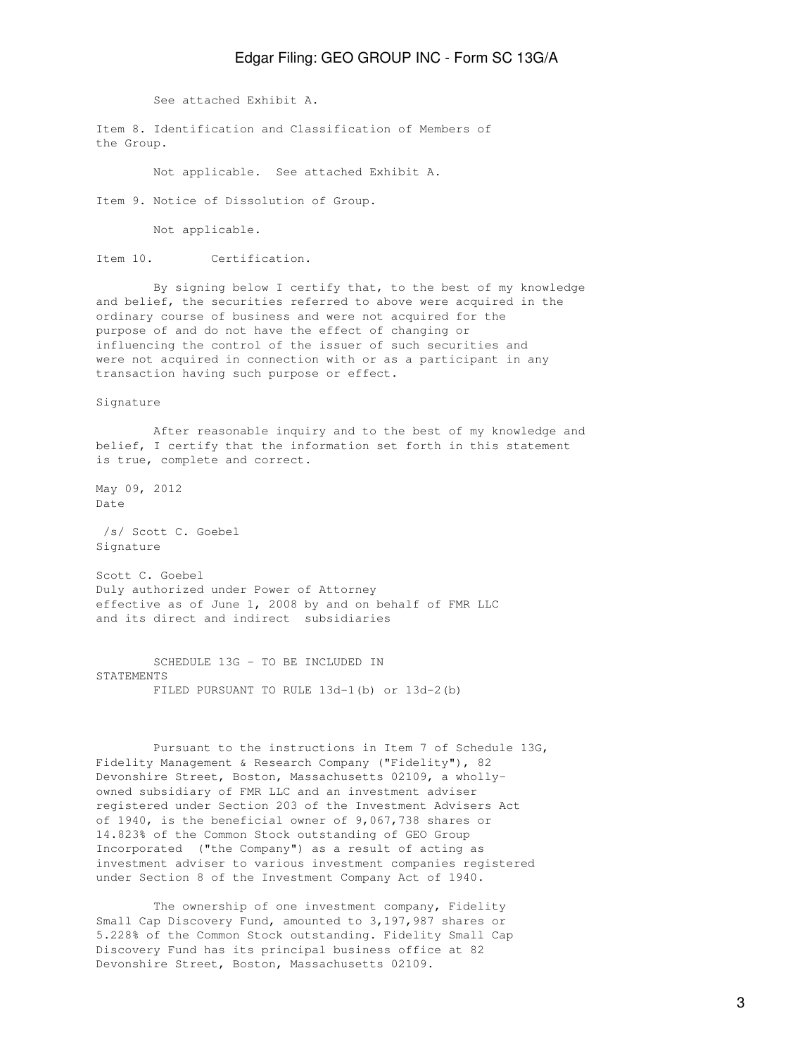## Edgar Filing: GEO GROUP INC - Form SC 13G/A

See attached Exhibit A.

Item 8. Identification and Classification of Members of the Group.

Not applicable. See attached Exhibit A.

Item 9. Notice of Dissolution of Group.

Not applicable.

Item 10. Certification.

 By signing below I certify that, to the best of my knowledge and belief, the securities referred to above were acquired in the ordinary course of business and were not acquired for the purpose of and do not have the effect of changing or influencing the control of the issuer of such securities and were not acquired in connection with or as a participant in any transaction having such purpose or effect.

Signature

 After reasonable inquiry and to the best of my knowledge and belief, I certify that the information set forth in this statement is true, complete and correct.

May 09, 2012 Date

 /s/ Scott C. Goebel Signature

Scott C. Goebel Duly authorized under Power of Attorney effective as of June 1, 2008 by and on behalf of FMR LLC and its direct and indirect subsidiaries

 SCHEDULE 13G - TO BE INCLUDED IN STATEMENTS FILED PURSUANT TO RULE 13d-1(b) or 13d-2(b)

 Pursuant to the instructions in Item 7 of Schedule 13G, Fidelity Management & Research Company ("Fidelity"), 82 Devonshire Street, Boston, Massachusetts 02109, a whollyowned subsidiary of FMR LLC and an investment adviser registered under Section 203 of the Investment Advisers Act of 1940, is the beneficial owner of 9,067,738 shares or 14.823% of the Common Stock outstanding of GEO Group Incorporated ("the Company") as a result of acting as investment adviser to various investment companies registered under Section 8 of the Investment Company Act of 1940.

 The ownership of one investment company, Fidelity Small Cap Discovery Fund, amounted to 3,197,987 shares or 5.228% of the Common Stock outstanding. Fidelity Small Cap Discovery Fund has its principal business office at 82 Devonshire Street, Boston, Massachusetts 02109.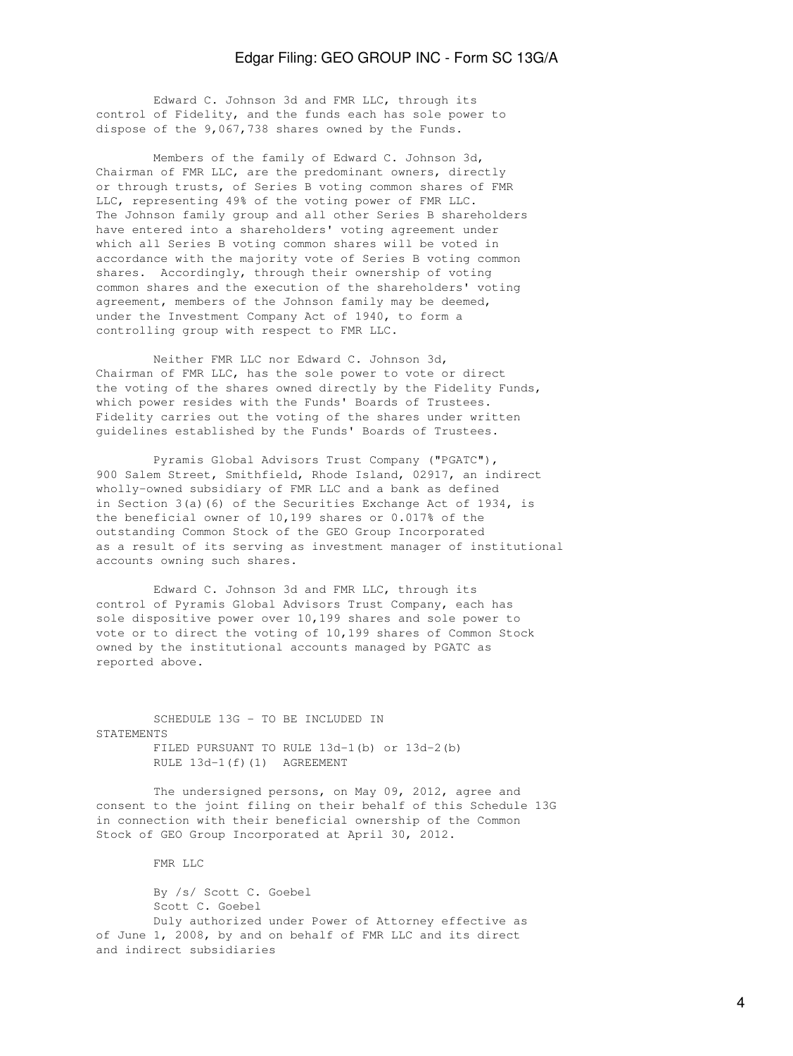## Edgar Filing: GEO GROUP INC - Form SC 13G/A

 Edward C. Johnson 3d and FMR LLC, through its control of Fidelity, and the funds each has sole power to dispose of the 9,067,738 shares owned by the Funds.

 Members of the family of Edward C. Johnson 3d, Chairman of FMR LLC, are the predominant owners, directly or through trusts, of Series B voting common shares of FMR LLC, representing 49% of the voting power of FMR LLC. The Johnson family group and all other Series B shareholders have entered into a shareholders' voting agreement under which all Series B voting common shares will be voted in accordance with the majority vote of Series B voting common shares. Accordingly, through their ownership of voting common shares and the execution of the shareholders' voting agreement, members of the Johnson family may be deemed, under the Investment Company Act of 1940, to form a controlling group with respect to FMR LLC.

 Neither FMR LLC nor Edward C. Johnson 3d, Chairman of FMR LLC, has the sole power to vote or direct the voting of the shares owned directly by the Fidelity Funds, which power resides with the Funds' Boards of Trustees. Fidelity carries out the voting of the shares under written guidelines established by the Funds' Boards of Trustees.

 Pyramis Global Advisors Trust Company ("PGATC"), 900 Salem Street, Smithfield, Rhode Island, 02917, an indirect wholly-owned subsidiary of FMR LLC and a bank as defined in Section 3(a)(6) of the Securities Exchange Act of 1934, is the beneficial owner of 10,199 shares or 0.017% of the outstanding Common Stock of the GEO Group Incorporated as a result of its serving as investment manager of institutional accounts owning such shares.

 Edward C. Johnson 3d and FMR LLC, through its control of Pyramis Global Advisors Trust Company, each has sole dispositive power over 10,199 shares and sole power to vote or to direct the voting of 10,199 shares of Common Stock owned by the institutional accounts managed by PGATC as reported above.

 SCHEDULE 13G - TO BE INCLUDED IN **STATEMENTS**  FILED PURSUANT TO RULE 13d-1(b) or 13d-2(b) RULE 13d-1(f)(1) AGREEMENT

 The undersigned persons, on May 09, 2012, agree and consent to the joint filing on their behalf of this Schedule 13G in connection with their beneficial ownership of the Common Stock of GEO Group Incorporated at April 30, 2012.

FMR LLC

 By /s/ Scott C. Goebel Scott C. Goebel Duly authorized under Power of Attorney effective as of June 1, 2008, by and on behalf of FMR LLC and its direct and indirect subsidiaries